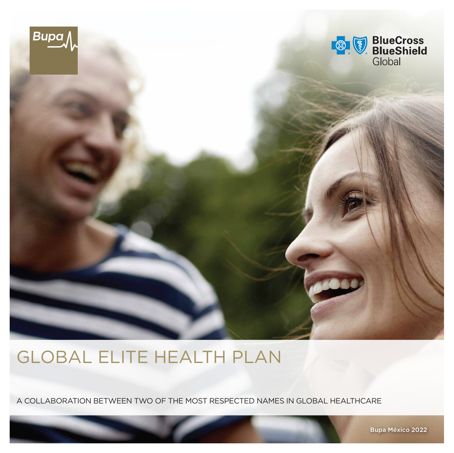

# GLOBAL ELITE HEALTH PLAN

A COLLABORATION BETWEEN TWO OF THE MOST RESPECTED NAMES IN GLOBAL HEALTHCARE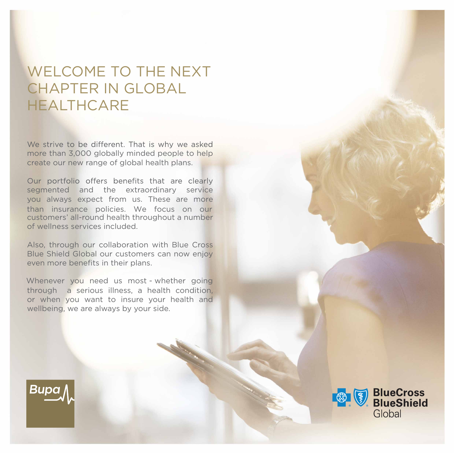## WELCOME TO THE NEXT CHAPTER IN GLOBAL HEALTHCARE

We strive to be different. That is why we asked more than 3,000 globally minded people to help create our new range of global health plans.

Our portfolio offers benefits that are clearly segmented and the extraordinary service you always expect from us. These are more than insurance policies. We focus on our customers' all-round health throughout a number of wellness services included.

Also, through our collaboration with Blue Cross Blue Shield Global our customers can now enjoy even more benefits in their plans.

through a serious illness, a health condition, or when you want to insure your health and wellbeing, we are always by your side. Whenever you need us most - whether going



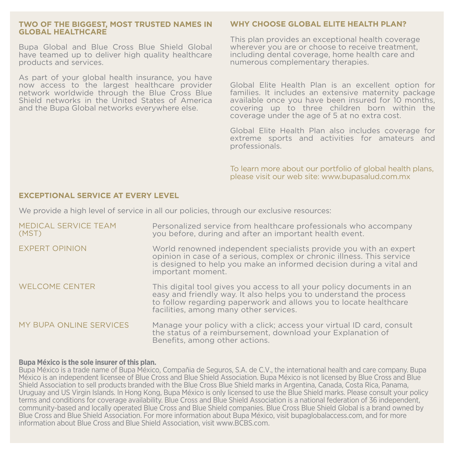#### **TWO OF THE BIGGEST, MOST TRUSTED NAMES IN GLOBAL HEALTHCARE**

Bupa Global and Blue Cross Blue Shield Global have teamed up to deliver high quality healthcare products and services.

As part of your global health insurance, you have now access to the largest healthcare provider network worldwide through the Blue Cross Blue Shield networks in the United States of America and the Bupa Global networks everywhere else.

#### **WHY CHOOSE GLOBAL ELITE HEALTH PLAN?**

This plan provides an exceptional health coverage wherever you are or choose to receive treatment. including dental coverage, home health care and numerous complementary therapies.

Global Elite Health Plan is an excellent option for families. It includes an extensive maternity package available once you have been insured for 10 months, covering up to three children born within the coverage under the age of 5 at no extra cost.

Global Elite Health Plan also includes coverage for extreme sports and activities for amateurs and professionals.

To learn more about our portfolio of global health plans, please visit our web site: [www.bupasalud.com.mx](http://www.bupasalud.com.mx)

#### **EXCEPTIONAL SERVICE AT EVERY LEVEL**

We provide a high level of service in all our policies, through our exclusive resources:

| MEDICAL SERVICE TEAM<br>(MST) | Personalized service from healthcare professionals who accompany<br>you before, during and after an important health event.                                                                                                                                |
|-------------------------------|------------------------------------------------------------------------------------------------------------------------------------------------------------------------------------------------------------------------------------------------------------|
| <b>EXPERT OPINION</b>         | World renowned independent specialists provide you with an expert<br>opinion in case of a serious, complex or chronic illness. This service<br>is designed to help you make an informed decision during a vital and<br>important moment.                   |
| <b>WELCOME CENTER</b>         | This digital tool gives you access to all your policy documents in an<br>easy and friendly way. It also helps you to understand the process<br>to follow regarding paperwork and allows you to locate healthcare<br>facilities, among many other services. |
| MY BUPA ONLINE SERVICES       | Manage your policy with a click; access your virtual ID card, consult<br>the status of a reimbursement, download your Explanation of<br>Benefits, among other actions.                                                                                     |

#### **Bupa México is the sole insurer of this plan.**

Bupa México is a trade name of Bupa México, Compañia de Seguros, S.A. de C.V., the international health and care company. Bupa México is an independent licensee of Blue Cross and Blue Shield Association. Bupa México is not licensed by Blue Cross and Blue Shield Association to sell products branded with the Blue Cross Blue Shield marks in Argentina, Canada, Costa Rica, Panama, Uruguay and US Virgin Islands. In Hong Kong, Bupa México is only licensed to use the Blue Shield marks. Please consult your policy terms and conditions for coverage availability. Blue Cross and Blue Shield Association is a national federation of 36 independent, community-based and locally operated Blue Cross and Blue Shield companies. Blue Cross Blue Shield Global is a brand owned by Blue Cross and Blue Shield Association. For more information about Bupa México, visit bupaglobalaccess.com, and for more information about Blue Cross and Blue Shield Association, visit [www.BCBS.com.](http://www.BCBS.com)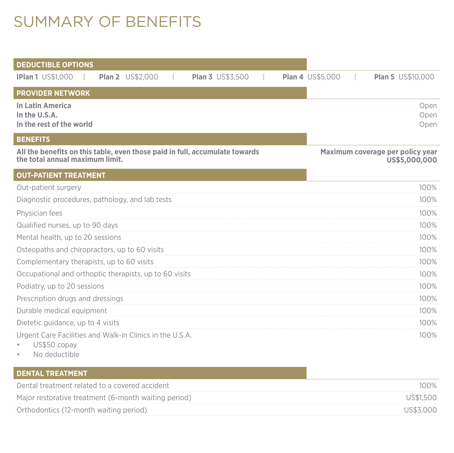# SUMMARY OF BENEFITS

| <b>DEDUCTIBLE OPTIONS</b>                                                                                      |                                                     |
|----------------------------------------------------------------------------------------------------------------|-----------------------------------------------------|
| <b>IPlan 1 US\$1,000</b><br><b>Plan 2</b> US\$2,000<br><b>Plan 3 US\$3,500</b>                                 | <b>Plan 4 US\$5,000</b><br><b>Plan 5</b> US\$10,000 |
| <b>PROVIDER NETWORK</b>                                                                                        |                                                     |
| <b>In Latin America</b><br>In the U.S.A.<br>In the rest of the world                                           | Open<br>Open<br>Open                                |
| <b>BENEFITS</b>                                                                                                |                                                     |
| All the benefits on this table, even those paid in full, accumulate towards<br>the total annual maximum limit. | Maximum coverage per policy year<br>US\$5,000,000   |
| <b>OUT-PATIENT TREATMENT</b>                                                                                   |                                                     |
| Out-patient surgery                                                                                            | 100%                                                |
| Diagnostic procedures, pathology, and lab tests                                                                | 100%                                                |
| Physician fees                                                                                                 | 100%                                                |
| Qualified nurses, up to 90 days                                                                                | 100%                                                |
| Mental health, up to 20 sessions                                                                               | 100%                                                |
| Osteopaths and chiropractors, up to 60 visits                                                                  | 100%                                                |
| Complementary therapists, up to 60 visits                                                                      | 100%                                                |
| Occupational and orthoptic therapists, up to 60 visits                                                         | 100%                                                |
| Podiatry, up to 20 sessions                                                                                    | 100%                                                |
| Prescription drugs and dressings                                                                               | 100%                                                |
| Durable medical equipment                                                                                      | 100%                                                |
| Dietetic guidance, up to 4 visits                                                                              | 100%                                                |
| Urgent Care Facilities and Walk-in Clinics in the U.S.A.<br>US\$50 copay<br>Active and a substantial and       | 100%                                                |

• No deductible

| I DENTAL TREATMENT <i>i</i>                          |           |
|------------------------------------------------------|-----------|
| Dental treatment related to a covered accident       | $100\%$   |
| Major restorative treatment (6-month waiting period) | US\$1.500 |
| Orthodontics (12-month waiting period)               | US\$3.000 |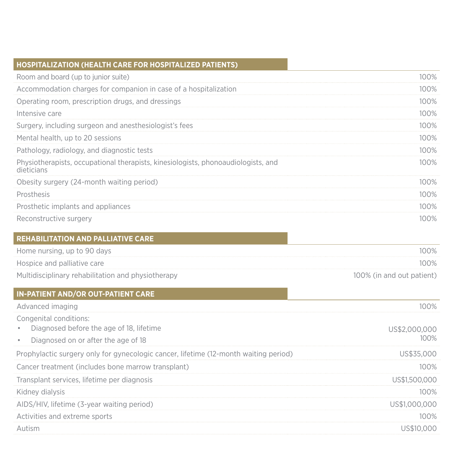| <b>HOSPITALIZATION (HEALTH CARE FOR HOSPITALIZED PATIENTS)</b>                                  |                           |
|-------------------------------------------------------------------------------------------------|---------------------------|
| Room and board (up to junior suite)                                                             | 100%                      |
| Accommodation charges for companion in case of a hospitalization                                | 100%                      |
| Operating room, prescription drugs, and dressings                                               | 100%                      |
| Intensive care                                                                                  | 100%                      |
| Surgery, including surgeon and anesthesiologist's fees                                          | 100%                      |
| Mental health, up to 20 sessions                                                                | 100%                      |
| Pathology, radiology, and diagnostic tests                                                      | 100%                      |
| Physiotherapists, occupational therapists, kinesiologists, phonoaudiologists, and<br>dieticians | 100%                      |
| Obesity surgery (24-month waiting period)                                                       | 100%                      |
| Prosthesis                                                                                      | 100%                      |
| Prosthetic implants and appliances                                                              | 100%                      |
| Reconstructive surgery                                                                          | 100%                      |
|                                                                                                 |                           |
| <b>REHABILITATION AND PALLIATIVE CARE</b>                                                       |                           |
| Home nursing, up to 90 days                                                                     | 100%                      |
| Hospice and palliative care                                                                     | 100%                      |
| Multidisciplinary rehabilitation and physiotherapy                                              | 100% (in and out patient) |
| IN-PATIENT AND/OR OUT-PATIENT CARE                                                              |                           |
| Advanced imaging                                                                                | 100%                      |
| Congenital conditions:                                                                          |                           |
| Diagnosed before the age of 18, lifetime                                                        | US\$2,000,000             |
| Diagnosed on or after the age of 18<br>$\bullet$                                                | 100%                      |
| Prophylactic surgery only for gynecologic cancer, lifetime (12-month waiting period)            | US\$35,000                |
| Cancer treatment (includes bone marrow transplant)                                              | 100%                      |
| Transplant services, lifetime per diagnosis                                                     | US\$1,500,000             |
| Kidney dialysis                                                                                 | 100%                      |
| AIDS/HIV, lifetime (3-year waiting period)                                                      | US\$1,000,000             |
| Activities and extreme sports                                                                   | 100%                      |
| Autism                                                                                          | US\$10,000                |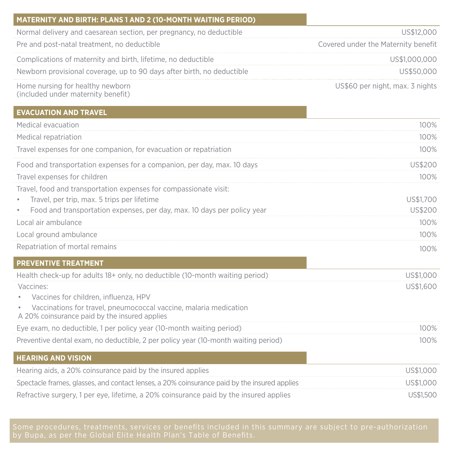| <b>MATERNITY AND BIRTH: PLANS 1 AND 2 (10-MONTH WAITING PERIOD)</b>                                                |                                     |
|--------------------------------------------------------------------------------------------------------------------|-------------------------------------|
| Normal delivery and caesarean section, per pregnancy, no deductible                                                | US\$12,000                          |
| Pre and post-natal treatment, no deductible                                                                        | Covered under the Maternity benefit |
| Complications of maternity and birth, lifetime, no deductible                                                      | US\$1,000,000                       |
| Newborn provisional coverage, up to 90 days after birth, no deductible                                             | US\$50,000                          |
| Home nursing for healthy newborn<br>(included under maternity benefit)                                             | US\$60 per night, max. 3 nights     |
| <b>EVACUATION AND TRAVEL</b>                                                                                       |                                     |
| Medical evacuation                                                                                                 | 100%                                |
| Medical repatriation                                                                                               | 100%                                |
| Travel expenses for one companion, for evacuation or repatriation                                                  | 100%                                |
| Food and transportation expenses for a companion, per day, max. 10 days                                            | US\$200                             |
| Travel expenses for children                                                                                       | 100%                                |
| Travel, food and transportation expenses for compassionate visit:                                                  |                                     |
| Travel, per trip, max. 5 trips per lifetime                                                                        | US\$1,700                           |
| Food and transportation expenses, per day, max. 10 days per policy year                                            | US\$200                             |
| Local air ambulance                                                                                                | 100%                                |
| Local ground ambulance                                                                                             | 100%                                |
| Repatriation of mortal remains                                                                                     | 100%                                |
| <b>PREVENTIVE TREATMENT</b>                                                                                        |                                     |
| Health check-up for adults 18+ only, no deductible (10-month waiting period)                                       | US\$1,000                           |
| Vaccines:                                                                                                          | US\$1,600                           |
| Vaccines for children, influenza, HPV                                                                              |                                     |
| Vaccinations for travel, pneumococcal vaccine, malaria medication<br>A 20% coinsurance paid by the insured applies |                                     |
| Eye exam, no deductible, 1 per policy year (10-month waiting period)                                               | 100%                                |
| Preventive dental exam, no deductible, 2 per policy year (10-month waiting period)                                 | 100%                                |
| <b>HEARING AND VISION</b>                                                                                          |                                     |
| Hearing aids, a 20% coinsurance paid by the insured applies                                                        | US\$1,000                           |
| Spectacle frames, glasses, and contact lenses, a 20% coinsurance paid by the insured applies                       | US\$1,000                           |
| Refractive surgery, 1 per eye, lifetime, a 20% coinsurance paid by the insured applies                             | US\$1,500                           |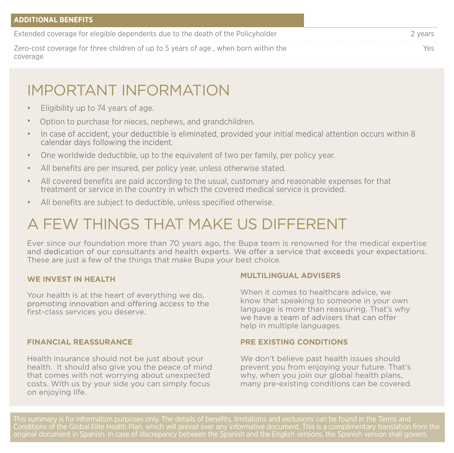## IMPORTANT INFORMATION

- Eligibility up to 74 years of age.
- Option to purchase for nieces, nephews, and grandchildren.
- In case of accident, your deductible is eliminated, provided your initial medical attention occurs within 8 • calendar days following the incident.
- One worldwide deductible, up to the equivalent of two per family, per policy year.
- All benefits are per insured, per policy year, unless otherwise stated.
- All covered benefits are paid according to the usual, customary and reasonable expenses for that treatment or service in the country in which the covered medical service is provided.
- All benefits are subject to deductible, unless specified otherwise.

# A FEW THINGS THAT MAKE US DIFFERENT

Ever since our foundation more than 70 years ago, the Bupa team is renowned for the medical expertise and dedication of our consultants and health experts. We offer a service that exceeds your expectations. These are just a few of the things that make Bupa your best choice.

### **WE INVEST IN HEALTH**

Your health is at the heart of everything we do, promoting innovation and offering access to the first-class services you deserve.

### **FINANCIAL REASSURANCE**

Health insurance should not be just about your health. It should also give you the peace of mind that comes with not worrying about unexpected costs. With us by your side you can simply focus on enjoying life.

### **MULTILINGUAL ADVISERS**

When it comes to healthcare advice, we know that speaking to someone in your own language is more than reassuring. That's why<br>we have a team of advisers that can offer help in multiple languages.

### **PRE EXISTING CONDITIONS**

We don't believe past health issues should prevent you from enjoying your future. That's why, when you join our global health plans. many pre-existing conditions can be covered.

This summary is for information purposes only. The details of benefits, limitations and exclusions can be found in the Terms and Conditions of the Global Elite Health Plan, which will prevail over any informative document. This is a complimentary translation from the original document in Spanish. In case of discrepancy between the Spanish and the English versions, the Spanish version shall govern.